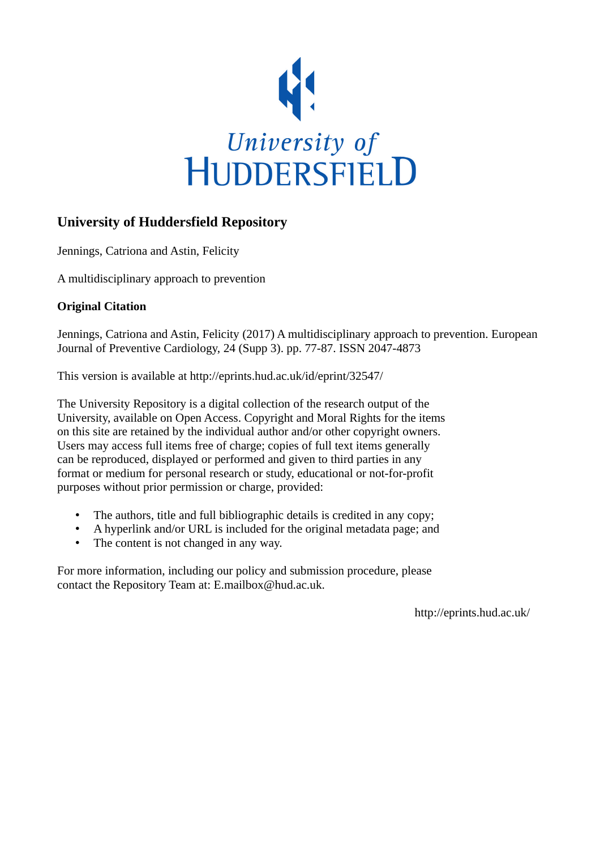

## **University of Huddersfield Repository**

Jennings, Catriona and Astin, Felicity

A multidisciplinary approach to prevention

#### **Original Citation**

Jennings, Catriona and Astin, Felicity (2017) A multidisciplinary approach to prevention. European Journal of Preventive Cardiology, 24 (Supp 3). pp. 77-87. ISSN 2047-4873

This version is available at http://eprints.hud.ac.uk/id/eprint/32547/

The University Repository is a digital collection of the research output of the University, available on Open Access. Copyright and Moral Rights for the items on this site are retained by the individual author and/or other copyright owners. Users may access full items free of charge; copies of full text items generally can be reproduced, displayed or performed and given to third parties in any format or medium for personal research or study, educational or not-for-profit purposes without prior permission or charge, provided:

- The authors, title and full bibliographic details is credited in any copy;
- A hyperlink and/or URL is included for the original metadata page; and
- The content is not changed in any way.

For more information, including our policy and submission procedure, please contact the Repository Team at: E.mailbox@hud.ac.uk.

http://eprints.hud.ac.uk/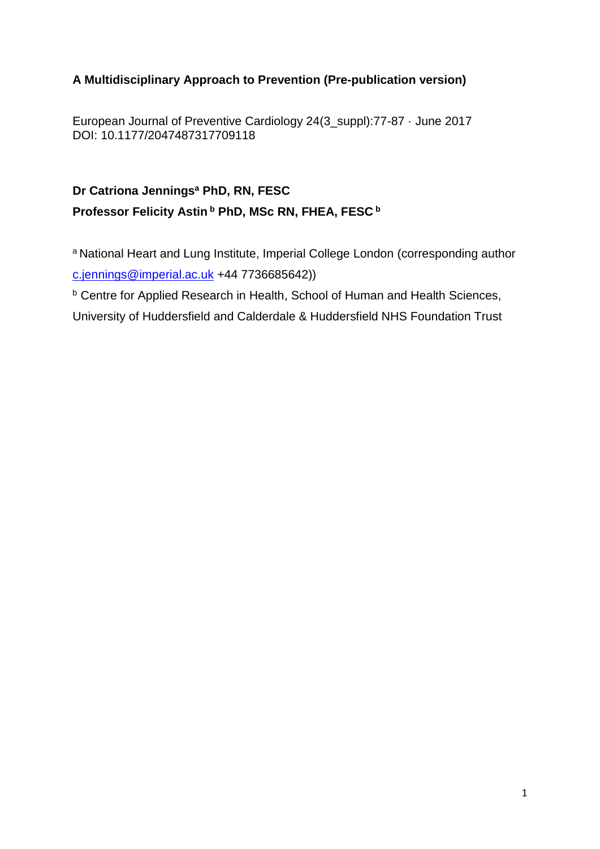## **A Multidisciplinary Approach to Prevention (Pre-publication version)**

European Journal of Preventive Cardiology 24(3\_suppl):77-87 · June 2017 DOI: 10.1177/2047487317709118

# **Dr Catriona Jennings<sup>a</sup> PhD, RN, FESC Professor Felicity Astin <sup>b</sup> PhD, MSc RN, FHEA, FESC <sup>b</sup>**

a National Heart and Lung Institute, Imperial College London (corresponding author [c.jennings@imperial.ac.uk](mailto:c.jennings@imperial.ac.uk) +44 7736685642))

**b Centre for Applied Research in Health, School of Human and Health Sciences,** 

University of Huddersfield and Calderdale & Huddersfield NHS Foundation Trust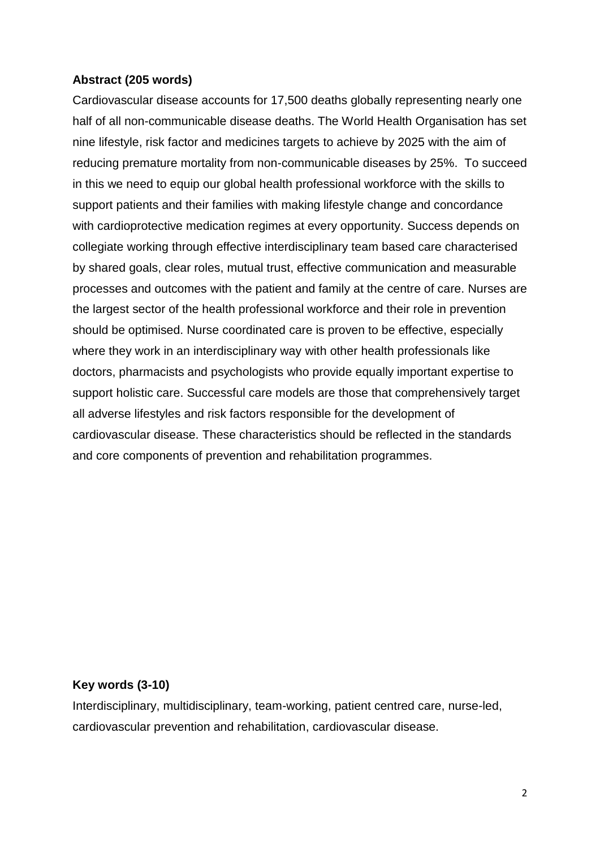#### **Abstract (205 words)**

Cardiovascular disease accounts for 17,500 deaths globally representing nearly one half of all non-communicable disease deaths. The World Health Organisation has set nine lifestyle, risk factor and medicines targets to achieve by 2025 with the aim of reducing premature mortality from non-communicable diseases by 25%. To succeed in this we need to equip our global health professional workforce with the skills to support patients and their families with making lifestyle change and concordance with cardioprotective medication regimes at every opportunity. Success depends on collegiate working through effective interdisciplinary team based care characterised by shared goals, clear roles, mutual trust, effective communication and measurable processes and outcomes with the patient and family at the centre of care. Nurses are the largest sector of the health professional workforce and their role in prevention should be optimised. Nurse coordinated care is proven to be effective, especially where they work in an interdisciplinary way with other health professionals like doctors, pharmacists and psychologists who provide equally important expertise to support holistic care. Successful care models are those that comprehensively target all adverse lifestyles and risk factors responsible for the development of cardiovascular disease. These characteristics should be reflected in the standards and core components of prevention and rehabilitation programmes.

#### **Key words (3-10)**

Interdisciplinary, multidisciplinary, team-working, patient centred care, nurse-led, cardiovascular prevention and rehabilitation, cardiovascular disease.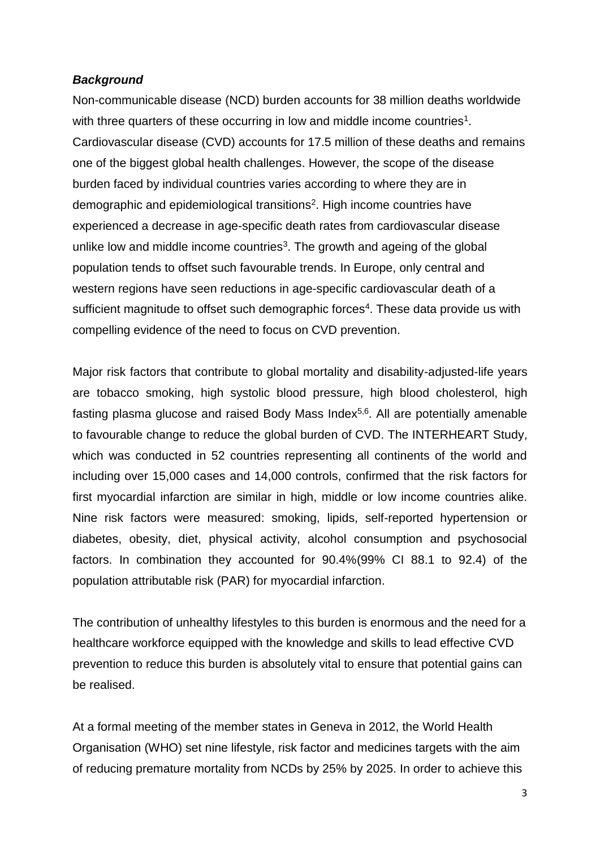#### *Background*

Non-communicable disease (NCD) burden accounts for 38 million deaths worldwide with three quarters of these occurring in low and middle income countries<sup>1</sup>. Cardiovascular disease (CVD) accounts for 17.5 million of these deaths and remains one of the biggest global health challenges. However, the scope of the disease burden faced by individual countries varies according to where they are in demographic and epidemiological transitions<sup>2</sup>. High income countries have experienced a decrease in age-specific death rates from cardiovascular disease unlike low and middle income countries<sup>3</sup>. The growth and ageing of the global population tends to offset such favourable trends. In Europe, only central and western regions have seen reductions in age-specific cardiovascular death of a sufficient magnitude to offset such demographic forces<sup>4</sup>. These data provide us with compelling evidence of the need to focus on CVD prevention.

Major risk factors that contribute to global mortality and disability-adjusted-life years are tobacco smoking, high systolic blood pressure, high blood cholesterol, high fasting plasma glucose and raised Body Mass Index<sup>5,6</sup>. All are potentially amenable to favourable change to reduce the global burden of CVD. The INTERHEART Study, which was conducted in 52 countries representing all continents of the world and including over 15,000 cases and 14,000 controls, confirmed that the risk factors for first myocardial infarction are similar in high, middle or low income countries alike. Nine risk factors were measured: smoking, lipids, self-reported hypertension or diabetes, obesity, diet, physical activity, alcohol consumption and psychosocial factors. In combination they accounted for 90.4%(99% CI 88.1 to 92.4) of the population attributable risk (PAR) for myocardial infarction.

The contribution of unhealthy lifestyles to this burden is enormous and the need for a healthcare workforce equipped with the knowledge and skills to lead effective CVD prevention to reduce this burden is absolutely vital to ensure that potential gains can be realised.

At a formal meeting of the member states in Geneva in 2012, the World Health Organisation (WHO) set nine lifestyle, risk factor and medicines targets with the aim of reducing premature mortality from NCDs by 25% by 2025. In order to achieve this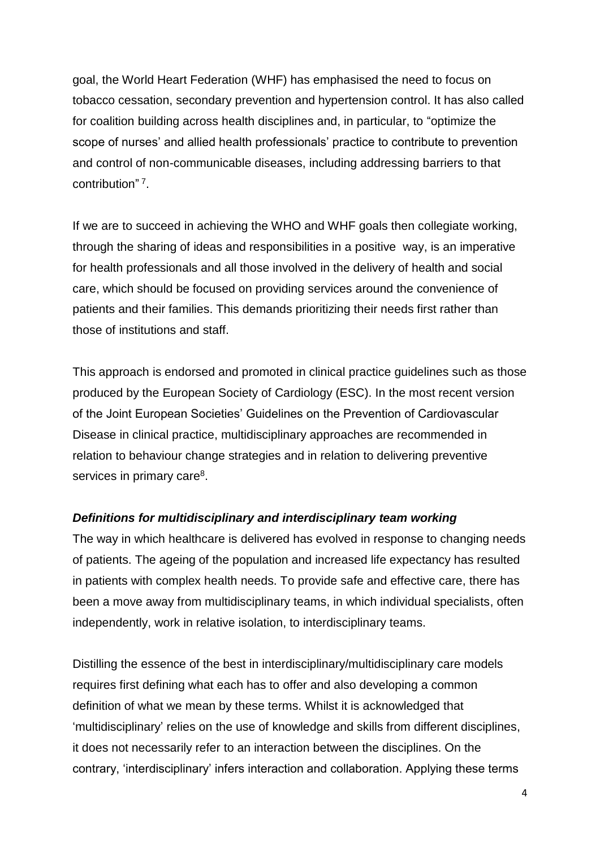goal, the World Heart Federation (WHF) has emphasised the need to focus on tobacco cessation, secondary prevention and hypertension control. It has also called for coalition building across health disciplines and, in particular, to "optimize the scope of nurses' and allied health professionals' practice to contribute to prevention and control of non-communicable diseases, including addressing barriers to that contribution" 7 .

If we are to succeed in achieving the WHO and WHF goals then collegiate working, through the sharing of ideas and responsibilities in a positive way, is an imperative for health professionals and all those involved in the delivery of health and social care, which should be focused on providing services around the convenience of patients and their families. This demands prioritizing their needs first rather than those of institutions and staff.

This approach is endorsed and promoted in clinical practice guidelines such as those produced by the European Society of Cardiology (ESC). In the most recent version of the Joint European Societies' Guidelines on the Prevention of Cardiovascular Disease in clinical practice, multidisciplinary approaches are recommended in relation to behaviour change strategies and in relation to delivering preventive services in primary care<sup>8</sup>.

## *Definitions for multidisciplinary and interdisciplinary team working*

The way in which healthcare is delivered has evolved in response to changing needs of patients. The ageing of the population and increased life expectancy has resulted in patients with complex health needs. To provide safe and effective care, there has been a move away from multidisciplinary teams, in which individual specialists, often independently, work in relative isolation, to interdisciplinary teams.

Distilling the essence of the best in interdisciplinary/multidisciplinary care models requires first defining what each has to offer and also developing a common definition of what we mean by these terms. Whilst it is acknowledged that 'multidisciplinary' relies on the use of knowledge and skills from different disciplines, it does not necessarily refer to an interaction between the disciplines. On the contrary, 'interdisciplinary' infers interaction and collaboration. Applying these terms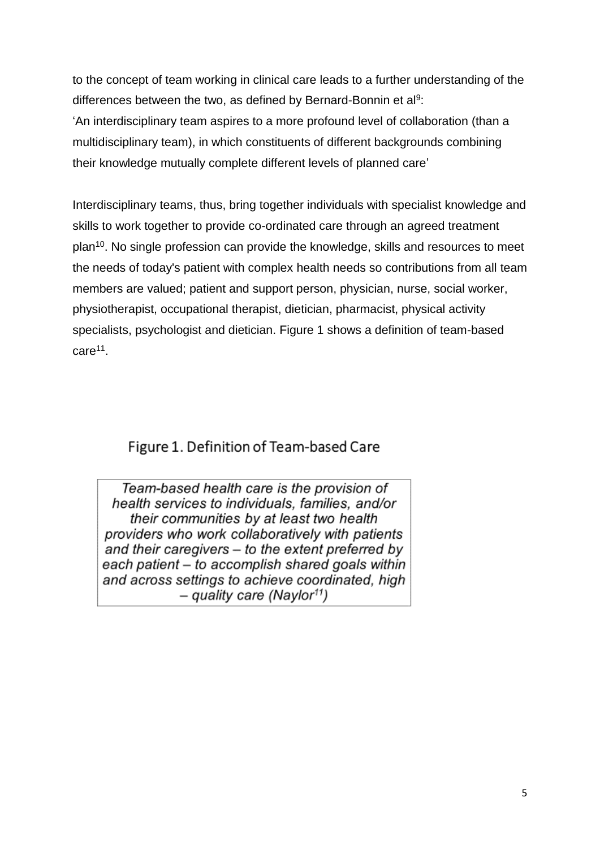to the concept of team working in clinical care leads to a further understanding of the differences between the two, as defined by Bernard-Bonnin et al $9$ : 'An interdisciplinary team aspires to a more profound level of collaboration (than a multidisciplinary team), in which constituents of different backgrounds combining their knowledge mutually complete different levels of planned care'

Interdisciplinary teams, thus, bring together individuals with specialist knowledge and skills to work together to provide co-ordinated care through an agreed treatment plan<sup>10</sup>. No single profession can provide the knowledge, skills and resources to meet the needs of today's patient with complex health needs so contributions from all team members are valued; patient and support person, physician, nurse, social worker, physiotherapist, occupational therapist, dietician, pharmacist, physical activity specialists, psychologist and dietician. Figure 1 shows a definition of team-based care<sup>11</sup>.

# Figure 1. Definition of Team-based Care

Team-based health care is the provision of health services to individuals, families, and/or their communities by at least two health providers who work collaboratively with patients and their caregivers  $-$  to the extent preferred by each patient – to accomplish shared goals within and across settings to achieve coordinated, high  $-$  quality care (Naylor<sup>11</sup>)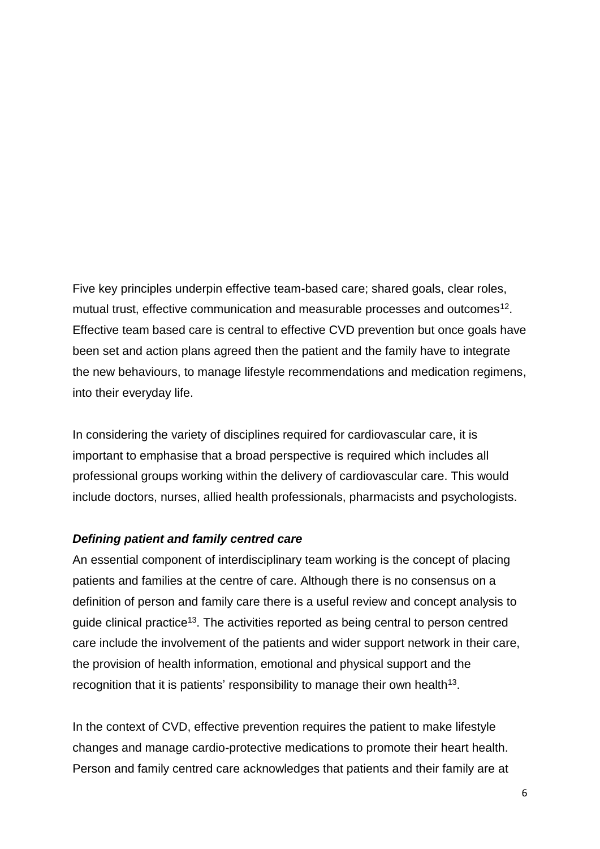Five key principles underpin effective team-based care; shared goals, clear roles, mutual trust, effective communication and measurable processes and outcomes<sup>12</sup>. Effective team based care is central to effective CVD prevention but once goals have been set and action plans agreed then the patient and the family have to integrate the new behaviours, to manage lifestyle recommendations and medication regimens, into their everyday life.

In considering the variety of disciplines required for cardiovascular care, it is important to emphasise that a broad perspective is required which includes all professional groups working within the delivery of cardiovascular care. This would include doctors, nurses, allied health professionals, pharmacists and psychologists.

#### *Defining patient and family centred care*

An essential component of interdisciplinary team working is the concept of placing patients and families at the centre of care. Although there is no consensus on a definition of person and family care there is a useful review and concept analysis to guide clinical practice<sup>13</sup>. The activities reported as being central to person centred care include the involvement of the patients and wider support network in their care, the provision of health information, emotional and physical support and the recognition that it is patients' responsibility to manage their own health<sup>13</sup>.

In the context of CVD, effective prevention requires the patient to make lifestyle changes and manage cardio-protective medications to promote their heart health. Person and family centred care acknowledges that patients and their family are at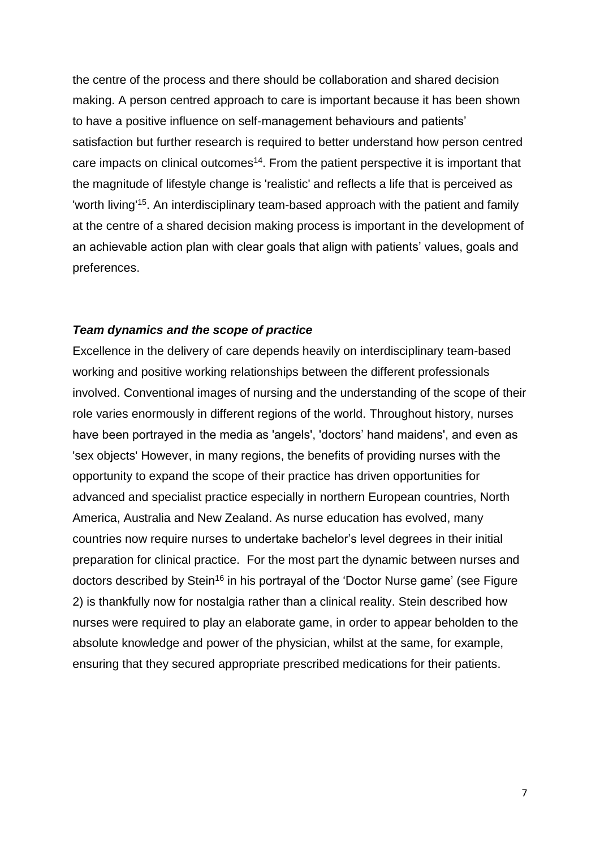the centre of the process and there should be collaboration and shared decision making. A person centred approach to care is important because it has been shown to have a positive influence on self-management behaviours and patients' satisfaction but further research is required to better understand how person centred care impacts on clinical outcomes<sup>14</sup>. From the patient perspective it is important that the magnitude of lifestyle change is 'realistic' and reflects a life that is perceived as 'worth living<sup>'15</sup>. An interdisciplinary team-based approach with the patient and family at the centre of a shared decision making process is important in the development of an achievable action plan with clear goals that align with patients' values, goals and preferences.

#### *Team dynamics and the scope of practice*

Excellence in the delivery of care depends heavily on interdisciplinary team-based working and positive working relationships between the different professionals involved. Conventional images of nursing and the understanding of the scope of their role varies enormously in different regions of the world. Throughout history, nurses have been portrayed in the media as 'angels', 'doctors' hand maidens', and even as 'sex objects' However, in many regions, the benefits of providing nurses with the opportunity to expand the scope of their practice has driven opportunities for advanced and specialist practice especially in northern European countries, North America, Australia and New Zealand. As nurse education has evolved, many countries now require nurses to undertake bachelor's level degrees in their initial preparation for clinical practice. For the most part the dynamic between nurses and doctors described by Stein<sup>16</sup> in his portrayal of the 'Doctor Nurse game' (see Figure 2) is thankfully now for nostalgia rather than a clinical reality. Stein described how nurses were required to play an elaborate game, in order to appear beholden to the absolute knowledge and power of the physician, whilst at the same, for example, ensuring that they secured appropriate prescribed medications for their patients.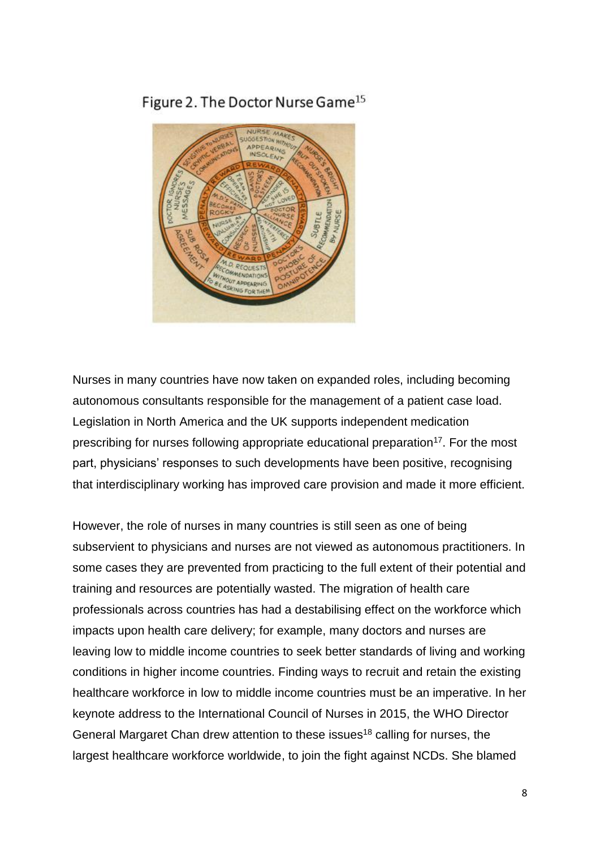Figure 2. The Doctor Nurse Game<sup>15</sup>



Nurses in many countries have now taken on expanded roles, including becoming autonomous consultants responsible for the management of a patient case load. Legislation in North America and the UK supports independent medication prescribing for nurses following appropriate educational preparation<sup>17</sup>. For the most part, physicians' responses to such developments have been positive, recognising that interdisciplinary working has improved care provision and made it more efficient.

However, the role of nurses in many countries is still seen as one of being subservient to physicians and nurses are not viewed as autonomous practitioners. In some cases they are prevented from practicing to the full extent of their potential and training and resources are potentially wasted. The migration of health care professionals across countries has had a destabilising effect on the workforce which impacts upon health care delivery; for example, many doctors and nurses are leaving low to middle income countries to seek better standards of living and working conditions in higher income countries. Finding ways to recruit and retain the existing healthcare workforce in low to middle income countries must be an imperative. In her keynote address to the International Council of Nurses in 2015, the WHO Director General Margaret Chan drew attention to these issues<sup>18</sup> calling for nurses, the largest healthcare workforce worldwide, to join the fight against NCDs. She blamed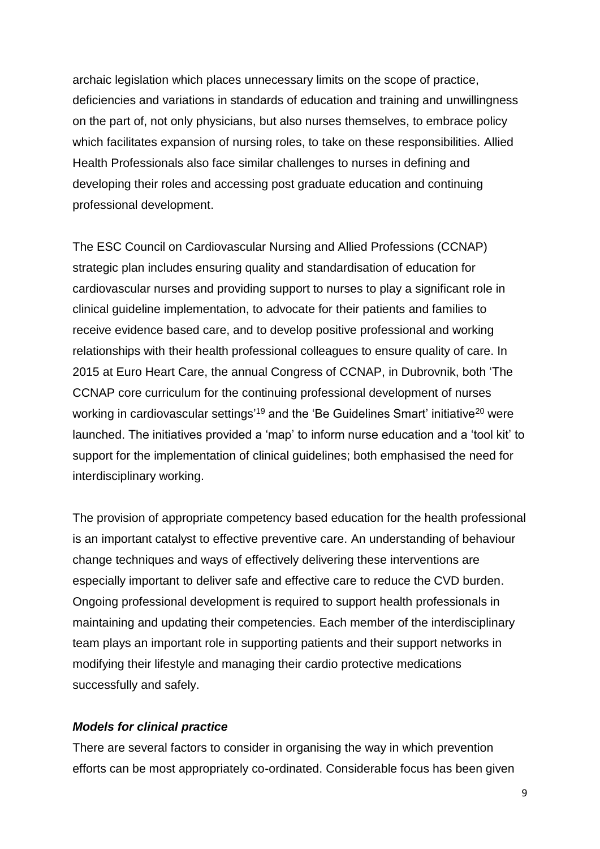archaic legislation which places unnecessary limits on the scope of practice, deficiencies and variations in standards of education and training and unwillingness on the part of, not only physicians, but also nurses themselves, to embrace policy which facilitates expansion of nursing roles, to take on these responsibilities. Allied Health Professionals also face similar challenges to nurses in defining and developing their roles and accessing post graduate education and continuing professional development.

The ESC Council on Cardiovascular Nursing and Allied Professions (CCNAP) strategic plan includes ensuring quality and standardisation of education for cardiovascular nurses and providing support to nurses to play a significant role in clinical guideline implementation, to advocate for their patients and families to receive evidence based care, and to develop positive professional and working relationships with their health professional colleagues to ensure quality of care. In 2015 at Euro Heart Care, the annual Congress of CCNAP, in Dubrovnik, both 'The CCNAP core curriculum for the continuing professional development of nurses working in cardiovascular settings'<sup>19</sup> and the 'Be Guidelines Smart' initiative<sup>20</sup> were launched. The initiatives provided a 'map' to inform nurse education and a 'tool kit' to support for the implementation of clinical guidelines; both emphasised the need for interdisciplinary working.

The provision of appropriate competency based education for the health professional is an important catalyst to effective preventive care. An understanding of behaviour change techniques and ways of effectively delivering these interventions are especially important to deliver safe and effective care to reduce the CVD burden. Ongoing professional development is required to support health professionals in maintaining and updating their competencies. Each member of the interdisciplinary team plays an important role in supporting patients and their support networks in modifying their lifestyle and managing their cardio protective medications successfully and safely.

#### *Models for clinical practice*

There are several factors to consider in organising the way in which prevention efforts can be most appropriately co-ordinated. Considerable focus has been given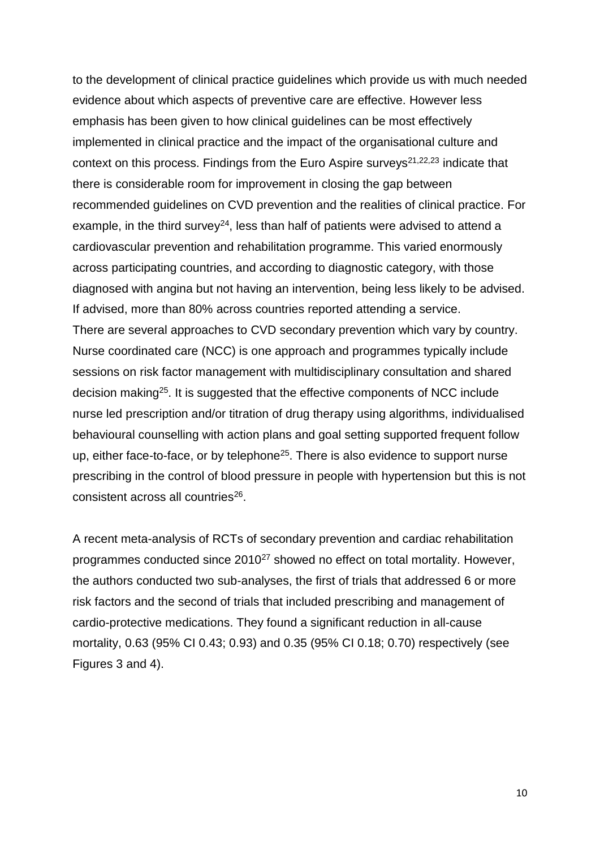to the development of clinical practice guidelines which provide us with much needed evidence about which aspects of preventive care are effective. However less emphasis has been given to how clinical guidelines can be most effectively implemented in clinical practice and the impact of the organisational culture and context on this process. Findings from the Euro Aspire surveys<sup>21,22,23</sup> indicate that there is considerable room for improvement in closing the gap between recommended guidelines on CVD prevention and the realities of clinical practice. For example, in the third survey<sup>24</sup>, less than half of patients were advised to attend a cardiovascular prevention and rehabilitation programme. This varied enormously across participating countries, and according to diagnostic category, with those diagnosed with angina but not having an intervention, being less likely to be advised. If advised, more than 80% across countries reported attending a service. There are several approaches to CVD secondary prevention which vary by country. Nurse coordinated care (NCC) is one approach and programmes typically include sessions on risk factor management with multidisciplinary consultation and shared decision making<sup>25</sup>. It is suggested that the effective components of NCC include nurse led prescription and/or titration of drug therapy using algorithms, individualised behavioural counselling with action plans and goal setting supported frequent follow up, either face-to-face, or by telephone<sup>25</sup>. There is also evidence to support nurse prescribing in the control of blood pressure in people with hypertension but this is not consistent across all countries<sup>26</sup>.

A recent meta-analysis of RCTs of secondary prevention and cardiac rehabilitation programmes conducted since 2010<sup>27</sup> showed no effect on total mortality. However, the authors conducted two sub-analyses, the first of trials that addressed 6 or more risk factors and the second of trials that included prescribing and management of cardio-protective medications. They found a significant reduction in all-cause mortality, 0.63 (95% CI 0.43; 0.93) and 0.35 (95% CI 0.18; 0.70) respectively (see Figures 3 and 4).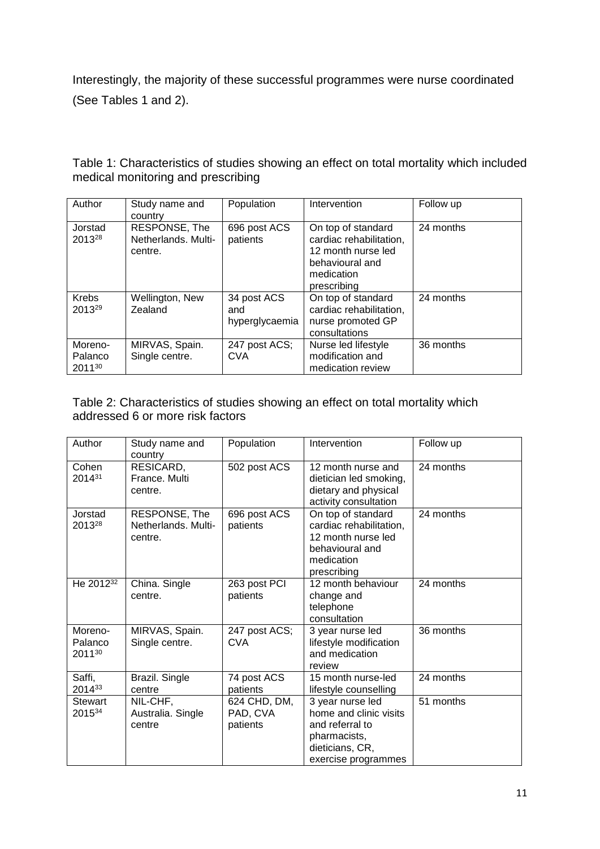Interestingly, the majority of these successful programmes were nurse coordinated (See Tables 1 and 2).

| Author                            | Study name and<br>country                       | Population                           | Intervention                                                                                                        | Follow up |
|-----------------------------------|-------------------------------------------------|--------------------------------------|---------------------------------------------------------------------------------------------------------------------|-----------|
| Jorstad<br>201328                 | RESPONSE, The<br>Netherlands, Multi-<br>centre. | 696 post ACS<br>patients             | On top of standard<br>cardiac rehabilitation,<br>12 month nurse led<br>behavioural and<br>medication<br>prescribing | 24 months |
| <b>Krebs</b><br>201329            | Wellington, New<br>Zealand                      | 34 post ACS<br>and<br>hyperglycaemia | On top of standard<br>cardiac rehabilitation,<br>nurse promoted GP<br>consultations                                 | 24 months |
| Moreno-<br>Palanco<br>$2011^{30}$ | MIRVAS, Spain.<br>Single centre.                | 247 post ACS;<br><b>CVA</b>          | Nurse led lifestyle<br>modification and<br>medication review                                                        | 36 months |

Table 1: Characteristics of studies showing an effect on total mortality which included medical monitoring and prescribing

#### Table 2: Characteristics of studies showing an effect on total mortality which addressed 6 or more risk factors

| Author                       | Study name and<br>country                       | Population                           | Intervention                                                                                                            | Follow up |
|------------------------------|-------------------------------------------------|--------------------------------------|-------------------------------------------------------------------------------------------------------------------------|-----------|
| Cohen<br>201431              | RESICARD,<br>France, Multi<br>centre.           | 502 post ACS                         | 12 month nurse and<br>dietician led smoking,<br>dietary and physical<br>activity consultation                           | 24 months |
| Jorstad<br>201328            | RESPONSE, The<br>Netherlands. Multi-<br>centre. | 696 post ACS<br>patients             | On top of standard<br>cardiac rehabilitation,<br>12 month nurse led<br>behavioural and<br>medication<br>prescribing     | 24 months |
| He 2012 <sup>32</sup>        | China. Single<br>centre.                        | 263 post PCI<br>patients             | 12 month behaviour<br>change and<br>telephone<br>consultation                                                           | 24 months |
| Moreno-<br>Palanco<br>201130 | MIRVAS, Spain.<br>Single centre.                | 247 post ACS;<br><b>CVA</b>          | 3 year nurse led<br>lifestyle modification<br>and medication<br>review                                                  | 36 months |
| Saffi,<br>201433             | Brazil. Single<br>centre                        | 74 post ACS<br>patients              | 15 month nurse-led<br>lifestyle counselling                                                                             | 24 months |
| Stewart<br>201534            | NIL-CHF,<br>Australia. Single<br>centre         | 624 CHD, DM,<br>PAD, CVA<br>patients | 3 year nurse led<br>home and clinic visits<br>and referral to<br>pharmacists,<br>dieticians, CR,<br>exercise programmes | 51 months |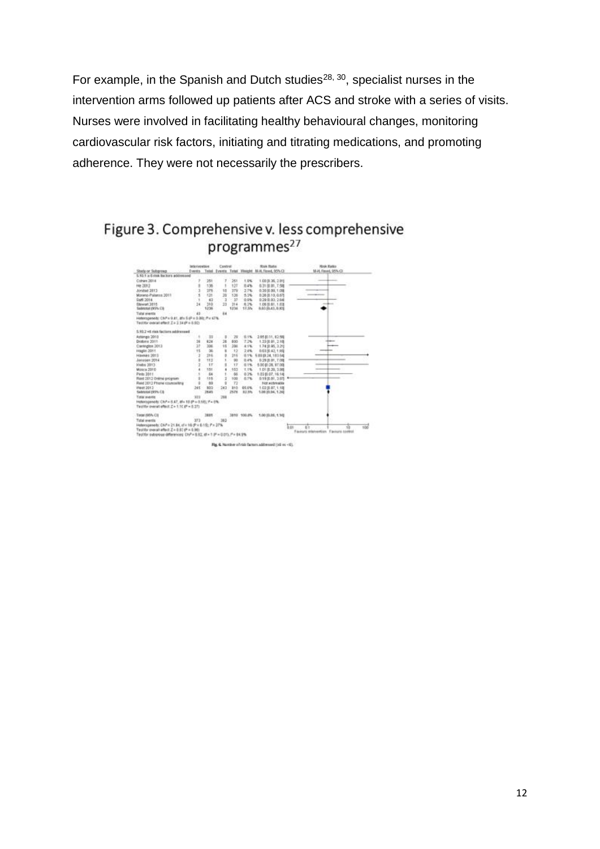For example, in the Spanish and Dutch studies<sup>28, 30</sup>, specialist nurses in the intervention arms followed up patients after ACS and stroke with a series of visits. Nurses were involved in facilitating healthy behavioural changes, monitoring cardiovascular risk factors, initiating and titrating medications, and promoting adherence. They were not necessarily the prescribers.

# Figure 3. Comprehensive v. less comprehensive programmes<sup>27</sup>



12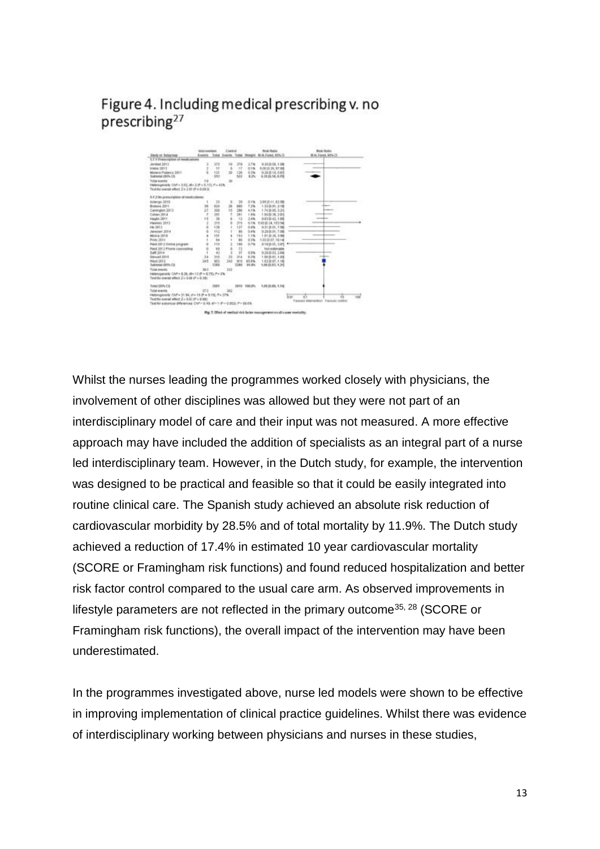## Figure 4. Including medical prescribing v. no prescribing<sup>27</sup>



Whilst the nurses leading the programmes worked closely with physicians, the involvement of other disciplines was allowed but they were not part of an interdisciplinary model of care and their input was not measured. A more effective approach may have included the addition of specialists as an integral part of a nurse led interdisciplinary team. However, in the Dutch study, for example, the intervention was designed to be practical and feasible so that it could be easily integrated into routine clinical care. The Spanish study achieved an absolute risk reduction of cardiovascular morbidity by 28.5% and of total mortality by 11.9%. The Dutch study achieved a reduction of 17.4% in estimated 10 year cardiovascular mortality (SCORE or Framingham risk functions) and found reduced hospitalization and better risk factor control compared to the usual care arm. As observed improvements in lifestyle parameters are not reflected in the primary outcome<sup>35, 28</sup> (SCORE or Framingham risk functions), the overall impact of the intervention may have been underestimated.

In the programmes investigated above, nurse led models were shown to be effective in improving implementation of clinical practice guidelines. Whilst there was evidence of interdisciplinary working between physicians and nurses in these studies,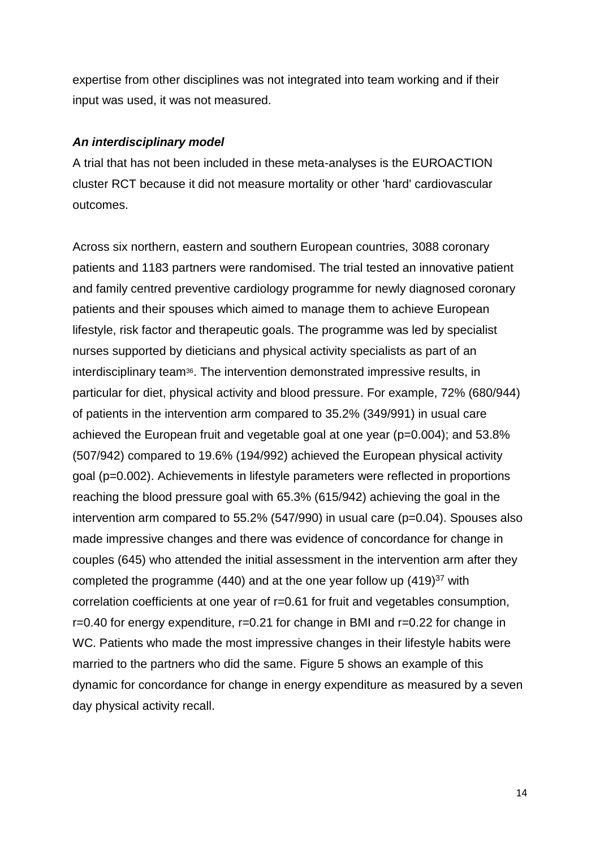expertise from other disciplines was not integrated into team working and if their input was used, it was not measured.

#### *An interdisciplinary model*

A trial that has not been included in these meta-analyses is the EUROACTION cluster RCT because it did not measure mortality or other 'hard' cardiovascular outcomes.

Across six northern, eastern and southern European countries, 3088 coronary patients and 1183 partners were randomised. The trial tested an innovative patient and family centred preventive cardiology programme for newly diagnosed coronary patients and their spouses which aimed to manage them to achieve European lifestyle, risk factor and therapeutic goals. The programme was led by specialist nurses supported by dieticians and physical activity specialists as part of an interdisciplinary team<sup>36</sup>. The intervention demonstrated impressive results, in particular for diet, physical activity and blood pressure. For example, 72% (680/944) of patients in the intervention arm compared to 35.2% (349/991) in usual care achieved the European fruit and vegetable goal at one year (p=0.004); and 53.8% (507/942) compared to 19.6% (194/992) achieved the European physical activity goal (p=0.002). Achievements in lifestyle parameters were reflected in proportions reaching the blood pressure goal with 65.3% (615/942) achieving the goal in the intervention arm compared to 55.2% (547/990) in usual care (p=0.04). Spouses also made impressive changes and there was evidence of concordance for change in couples (645) who attended the initial assessment in the intervention arm after they completed the programme (440) and at the one year follow up  $(419)^{37}$  with correlation coefficients at one year of r=0.61 for fruit and vegetables consumption, r=0.40 for energy expenditure, r=0.21 for change in BMI and r=0.22 for change in WC. Patients who made the most impressive changes in their lifestyle habits were married to the partners who did the same. Figure 5 shows an example of this dynamic for concordance for change in energy expenditure as measured by a seven day physical activity recall.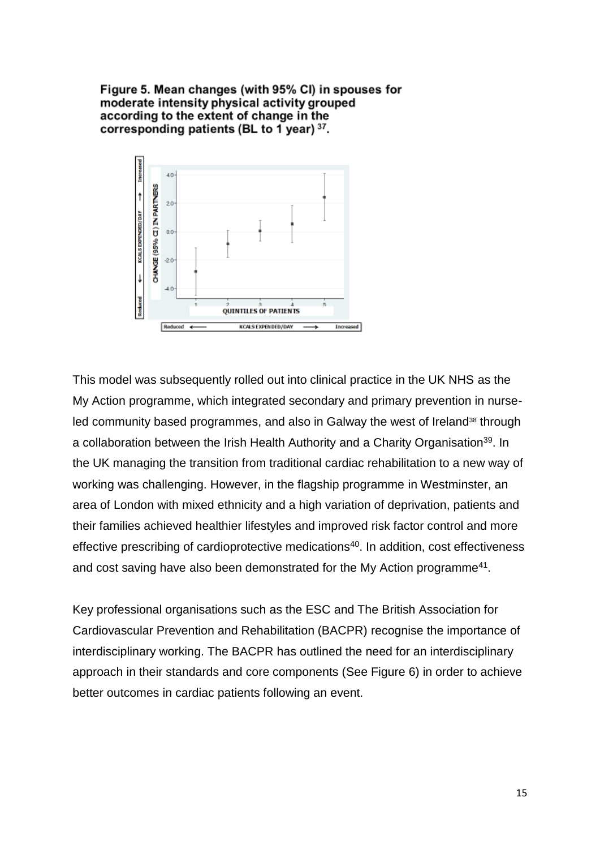Figure 5. Mean changes (with 95% CI) in spouses for moderate intensity physical activity grouped according to the extent of change in the corresponding patients (BL to 1 year)  $37$ .



This model was subsequently rolled out into clinical practice in the UK NHS as the My Action programme, which integrated secondary and primary prevention in nurseled community based programmes, and also in Galway the west of Ireland<sup>38</sup> through a collaboration between the Irish Health Authority and a Charity Organisation<sup>39</sup>. In the UK managing the transition from traditional cardiac rehabilitation to a new way of working was challenging. However, in the flagship programme in Westminster, an area of London with mixed ethnicity and a high variation of deprivation, patients and their families achieved healthier lifestyles and improved risk factor control and more effective prescribing of cardioprotective medications<sup>40</sup>. In addition, cost effectiveness and cost saving have also been demonstrated for the My Action programme<sup>41</sup>.

Key professional organisations such as the ESC and The British Association for Cardiovascular Prevention and Rehabilitation (BACPR) recognise the importance of interdisciplinary working. The BACPR has outlined the need for an interdisciplinary approach in their standards and core components (See Figure 6) in order to achieve better outcomes in cardiac patients following an event.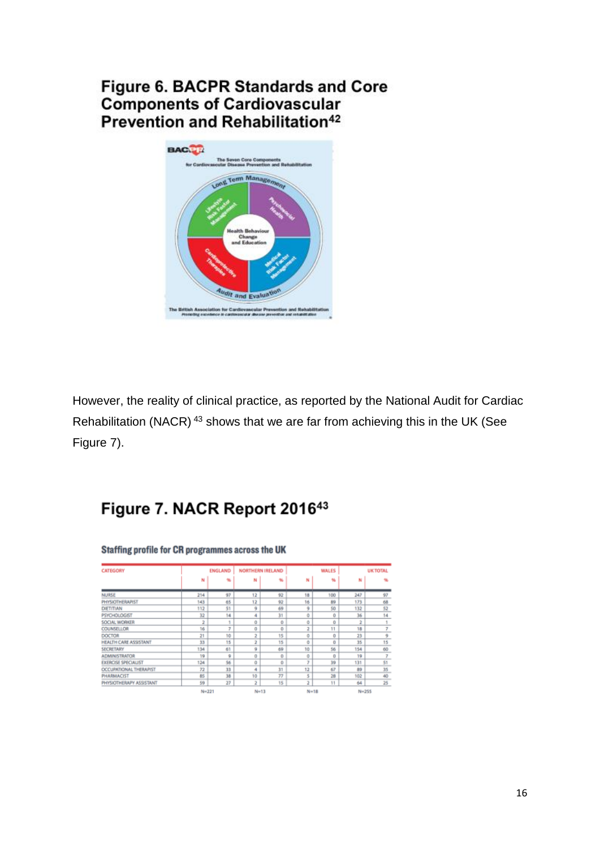# Figure 6. BACPR Standards and Core **Components of Cardiovascular** Prevention and Rehabilitation<sup>42</sup>



However, the reality of clinical practice, as reported by the National Audit for Cardiac Rehabilitation (NACR) <sup>43</sup> shows that we are far from achieving this in the UK (See Figure 7).

# Figure 7. NACR Report 201643

|                              |     | ENGLAND | <b>NORTHERN IRELAND</b> |    |                | WALES    | <b>UK TOTAL</b> |    |
|------------------------------|-----|---------|-------------------------|----|----------------|----------|-----------------|----|
|                              | N   | m       | N                       | 46 | N              | w        | N               |    |
| NURSE                        | 214 | 97      | 12                      | 92 | 18             | 100      | 247             | 97 |
| <b>PHYSIOTHERAPIST</b>       | 143 | 65      | 12                      | 92 | 16             | 89       | 173             | 68 |
| DIETITIAN                    | 112 | 51      | 9                       | 69 | 9              | 50       | 132             | 52 |
| <b>PSYCHOLOGIST</b>          | 32  | 14      | 4                       | 31 | ō              | Û        | 36              | 14 |
| SOCIAL WORKER                | 2   |         | ů                       | Ů  | ŏ              | û        | ž               |    |
| <b>COUNSELLOR</b>            | 16  | T       | o                       | o  | z              | 11       | 18              | 7  |
| <b>DOCTOR</b>                | z   | 10      | 2                       | 15 | ٥              | 0        | 23              | 9  |
| <b>HEALTH CARE ASSISTANT</b> | 33  | 15      | 2                       | 15 | ٥              | o        | 35              | 15 |
| <b>SECRETARY</b>             | 134 | 61      | 9                       | 69 | 10             | 56       | 154             | 60 |
| <b>ADMINISTRATOR</b>         | 19  | ۰       | 0                       | 0  | ٥              | $\Omega$ | 19              | 7  |
| <b>EXERCISE SPECIALIST</b>   | 124 | 56      | ů                       | Ò  | y              | 39       | 131             | 51 |
| OCCUPATIONAL THERAPIST       | 72  | 33      | 4                       | 31 | 12             | 67       | 89              | 35 |
| <b>PHARMACIST</b>            | 85  | 38      | 10                      | 77 | 5              | 28       | 102             | 40 |
| PHYSIOTHERAPY ASSISTANT      | 59  | 27      | 2                       | 15 | $\overline{2}$ | 11       | 64              | 25 |

#### Staffing profile for CR programmes across the UK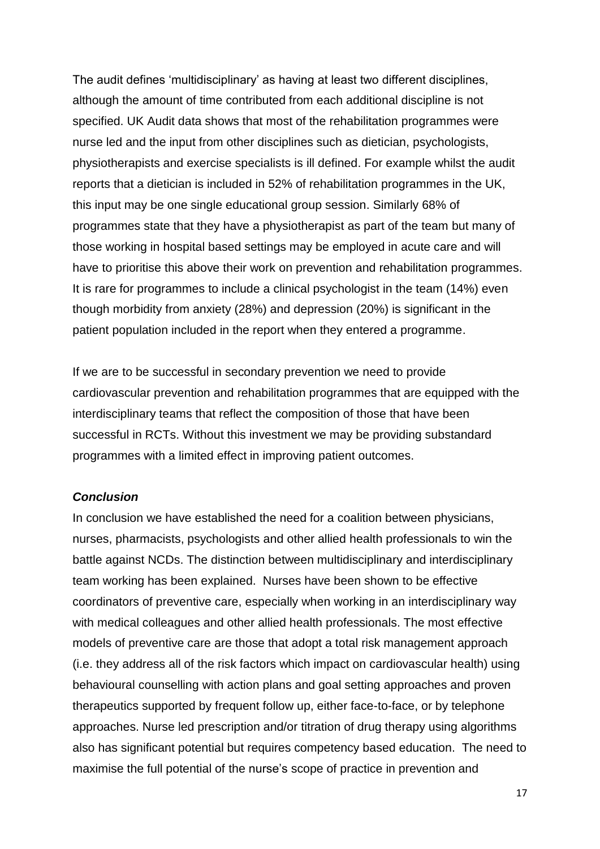The audit defines 'multidisciplinary' as having at least two different disciplines, although the amount of time contributed from each additional discipline is not specified. UK Audit data shows that most of the rehabilitation programmes were nurse led and the input from other disciplines such as dietician, psychologists, physiotherapists and exercise specialists is ill defined. For example whilst the audit reports that a dietician is included in 52% of rehabilitation programmes in the UK, this input may be one single educational group session. Similarly 68% of programmes state that they have a physiotherapist as part of the team but many of those working in hospital based settings may be employed in acute care and will have to prioritise this above their work on prevention and rehabilitation programmes. It is rare for programmes to include a clinical psychologist in the team (14%) even though morbidity from anxiety (28%) and depression (20%) is significant in the patient population included in the report when they entered a programme.

If we are to be successful in secondary prevention we need to provide cardiovascular prevention and rehabilitation programmes that are equipped with the interdisciplinary teams that reflect the composition of those that have been successful in RCTs. Without this investment we may be providing substandard programmes with a limited effect in improving patient outcomes.

#### *Conclusion*

In conclusion we have established the need for a coalition between physicians, nurses, pharmacists, psychologists and other allied health professionals to win the battle against NCDs. The distinction between multidisciplinary and interdisciplinary team working has been explained. Nurses have been shown to be effective coordinators of preventive care, especially when working in an interdisciplinary way with medical colleagues and other allied health professionals. The most effective models of preventive care are those that adopt a total risk management approach (i.e. they address all of the risk factors which impact on cardiovascular health) using behavioural counselling with action plans and goal setting approaches and proven therapeutics supported by frequent follow up, either face-to-face, or by telephone approaches. Nurse led prescription and/or titration of drug therapy using algorithms also has significant potential but requires competency based education. The need to maximise the full potential of the nurse's scope of practice in prevention and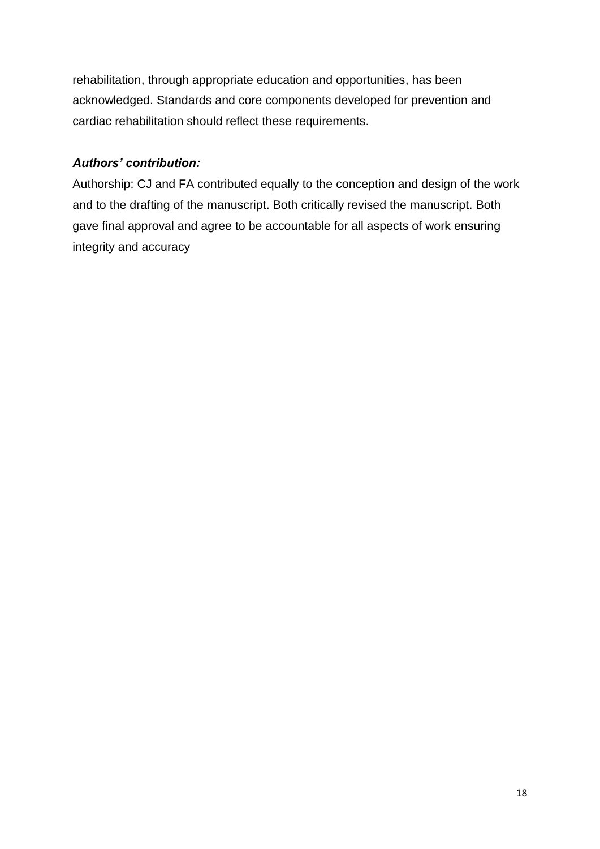rehabilitation, through appropriate education and opportunities, has been acknowledged. Standards and core components developed for prevention and cardiac rehabilitation should reflect these requirements.

## *Authors' contribution:*

Authorship: CJ and FA contributed equally to the conception and design of the work and to the drafting of the manuscript. Both critically revised the manuscript. Both gave final approval and agree to be accountable for all aspects of work ensuring integrity and accuracy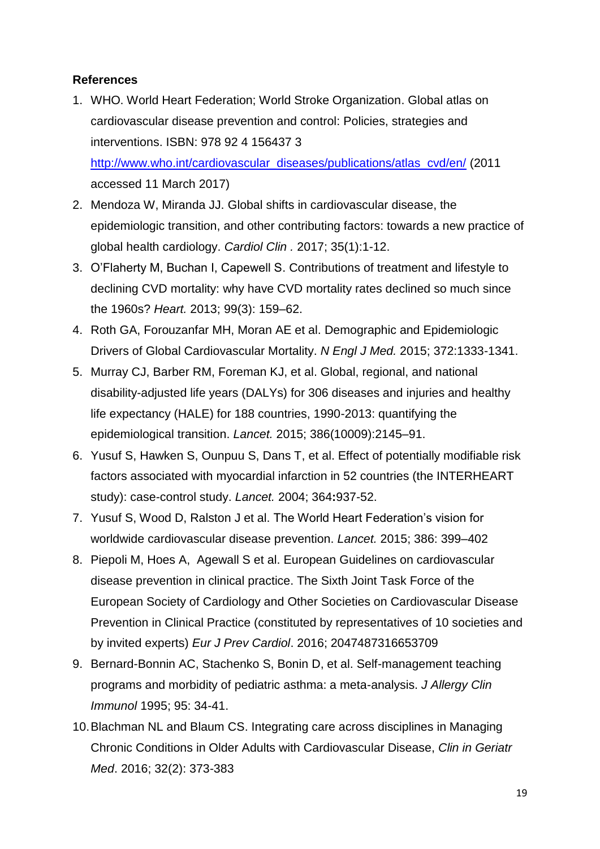## **References**

- 1. WHO. World Heart Federation; World Stroke Organization. Global atlas on cardiovascular disease prevention and control: Policies, strategies and interventions. ISBN: 978 92 4 156437 3 [http://www.who.int/cardiovascular\\_diseases/publications/atlas\\_cvd/en/](http://www.who.int/cardiovascular_diseases/publications/atlas_cvd/en/) (2011 accessed 11 March 2017)
- 2. Mendoza W, Miranda JJ. Global shifts in cardiovascular disease, the epidemiologic transition, and other contributing factors: towards a new practice of global health cardiology. *Cardiol Clin .* 2017; 35(1):1-12.
- 3. O'Flaherty M, Buchan I, Capewell S. Contributions of treatment and lifestyle to declining CVD mortality: why have CVD mortality rates declined so much since the 1960s? *Heart.* 2013; 99(3): 159–62.
- 4. Roth GA, Forouzanfar MH, Moran AE et al. Demographic and Epidemiologic Drivers of Global Cardiovascular Mortality. *N Engl J Med.* 2015; 372:1333-1341.
- 5. Murray CJ, Barber RM, Foreman KJ, et al. Global, regional, and national disability-adjusted life years (DALYs) for 306 diseases and injuries and healthy life expectancy (HALE) for 188 countries, 1990-2013: quantifying the epidemiological transition. *Lancet.* 2015; 386(10009):2145–91.
- 6. Yusuf S, Hawken S, Ounpuu S, Dans T, et al. Effect of potentially modifiable risk factors associated with myocardial infarction in 52 countries (the INTERHEART study): case-control study. *Lancet.* 2004; 364**:**937-52.
- 7. Yusuf S, Wood D, Ralston J et al. The World Heart Federation's vision for worldwide cardiovascular disease prevention. *Lancet.* 2015; 386: 399–402
- 8. Piepoli M, Hoes A, Agewall S et al. European Guidelines on cardiovascular disease prevention in clinical practice. The Sixth Joint Task Force of the European Society of Cardiology and Other Societies on Cardiovascular Disease Prevention in Clinical Practice (constituted by representatives of 10 societies and by invited experts) *Eur J Prev Cardiol*. 2016; 2047487316653709
- 9. Bernard-Bonnin AC, Stachenko S, Bonin D, et al. Self-management teaching programs and morbidity of pediatric asthma: a meta-analysis. *J Allergy Clin Immunol* 1995; 95: 34-41.
- 10.Blachman NL and Blaum CS. Integrating care across disciplines in Managing Chronic Conditions in Older Adults with Cardiovascular Disease, *Clin in Geriatr Med*. 2016; 32(2): 373-383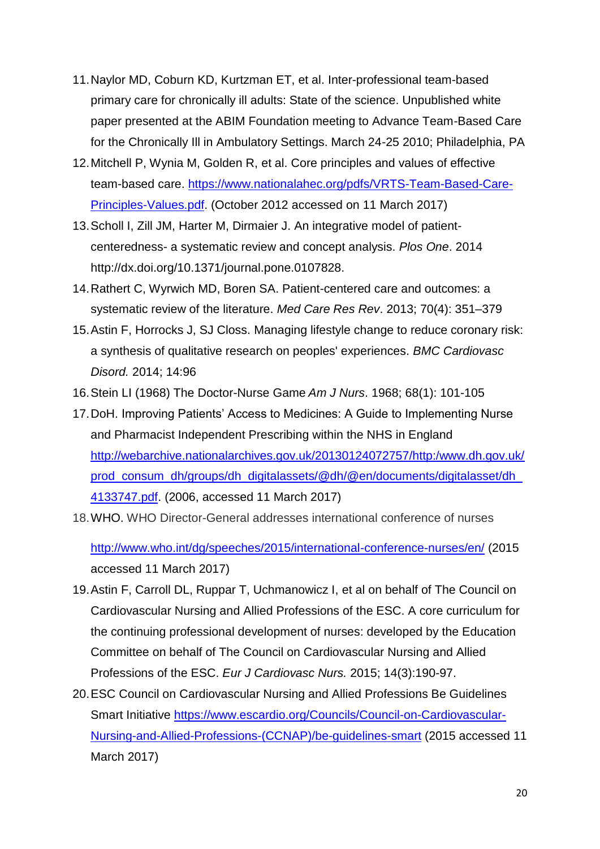- 11.Naylor MD, Coburn KD, Kurtzman ET, et al. Inter-professional team-based primary care for chronically ill adults: State of the science. Unpublished white paper presented at the ABIM Foundation meeting to Advance Team-Based Care for the Chronically Ill in Ambulatory Settings. March 24-25 2010; Philadelphia, PA
- 12.Mitchell P, Wynia M, Golden R, et al. Core principles and values of effective team-based care. [https://www.nationalahec.org/pdfs/VRTS-Team-Based-Care-](https://www.nationalahec.org/pdfs/VRTS-Team-Based-Care-Principles-Values.pdf)[Principles-Values.pdf.](https://www.nationalahec.org/pdfs/VRTS-Team-Based-Care-Principles-Values.pdf) (October 2012 accessed on 11 March 2017)
- 13.Scholl I, Zill JM, Harter M, Dirmaier J. An integrative model of patientcenteredness- a systematic review and concept analysis. *Plos One*. 2014 http://dx.doi.org/10.1371/journal.pone.0107828.
- 14.Rathert C, Wyrwich MD, Boren SA. Patient-centered care and outcomes: a systematic review of the literature. *Med Care Res Rev*. 2013; 70(4): 351–379
- 15.Astin F, Horrocks J, SJ Closs. Managing lifestyle change to reduce coronary risk: a synthesis of qualitative research on peoples' experiences. *BMC Cardiovasc Disord.* 2014; 14:96
- 16.Stein LI (1968) The Doctor-Nurse Game *Am J Nurs*. 1968; 68(1): 101-105
- 17.DoH. Improving Patients' Access to Medicines: A Guide to Implementing Nurse and Pharmacist Independent Prescribing within the NHS in England [http://webarchive.nationalarchives.gov.uk/20130124072757/http:/www.dh.gov.uk/](http://webarchive.nationalarchives.gov.uk/20130124072757/http:/www.dh.gov.uk/prod_consum_dh/groups/dh_digitalassets/@dh/@en/documents/digitalasset/dh_4133747.pdf) prod\_consum\_dh/groups/dh\_digitalassets/@dh/@en/documents/digitalasset/dh [4133747.pdf.](http://webarchive.nationalarchives.gov.uk/20130124072757/http:/www.dh.gov.uk/prod_consum_dh/groups/dh_digitalassets/@dh/@en/documents/digitalasset/dh_4133747.pdf) (2006, accessed 11 March 2017)
- 18.WHO. WHO Director-General addresses international conference of nurses

<http://www.who.int/dg/speeches/2015/international-conference-nurses/en/> (2015 accessed 11 March 2017)

- 19.Astin F, Carroll DL, Ruppar T, Uchmanowicz I, et al on behalf of The Council on Cardiovascular Nursing and Allied Professions of the ESC. A core curriculum for the continuing professional development of nurses: developed by the Education Committee on behalf of The Council on Cardiovascular Nursing and Allied Professions of the ESC. *Eur J Cardiovasc Nurs.* 2015; 14(3):190-97.
- 20.ESC Council on Cardiovascular Nursing and Allied Professions Be Guidelines Smart Initiative [https://www.escardio.org/Councils/Council-on-Cardiovascular-](https://www.escardio.org/Councils/Council-on-Cardiovascular-Nursing-and-Allied-Professions-(CCNAP)/be-guidelines-smart)[Nursing-and-Allied-Professions-\(CCNAP\)/be-guidelines-smart](https://www.escardio.org/Councils/Council-on-Cardiovascular-Nursing-and-Allied-Professions-(CCNAP)/be-guidelines-smart) (2015 accessed 11 March 2017)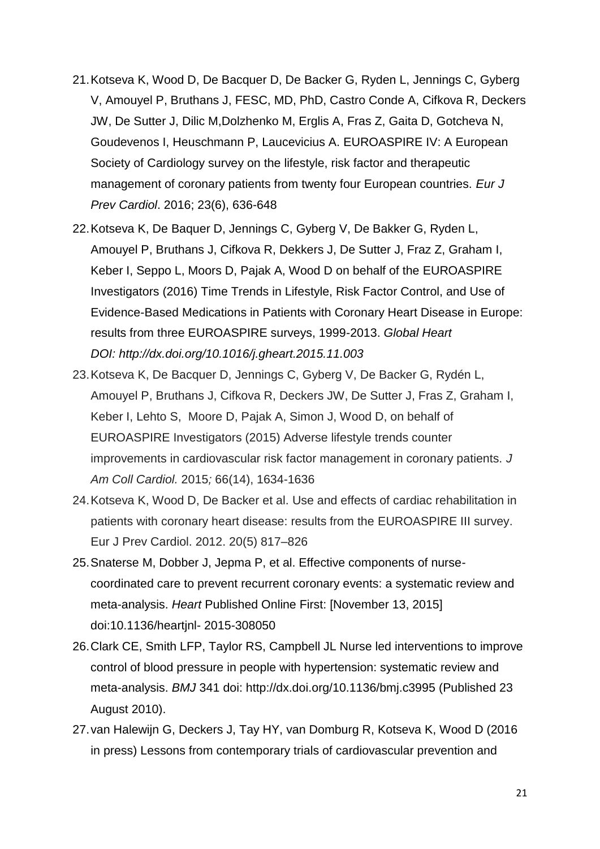- 21.Kotseva K, Wood D, De Bacquer D, De Backer G, Ryden L, Jennings C, Gyberg V, Amouyel P, Bruthans J, FESC, MD, PhD, Castro Conde A, Cifkova R, Deckers JW, De Sutter J, Dilic M,Dolzhenko M, Erglis A, Fras Z, Gaita D, Gotcheva N, Goudevenos I, Heuschmann P, Laucevicius A. EUROASPIRE IV: A European Society of Cardiology survey on the lifestyle, risk factor and therapeutic management of coronary patients from twenty four European countries. *Eur J Prev Cardiol*. 2016; 23(6), 636-648
- 22.Kotseva K, De Baquer D, Jennings C, Gyberg V, De Bakker G, Ryden L, Amouyel P, Bruthans J, Cifkova R, Dekkers J, De Sutter J, Fraz Z, Graham I, Keber I, Seppo L, Moors D, Pajak A, Wood D on behalf of the EUROASPIRE Investigators (2016) Time Trends in Lifestyle, Risk Factor Control, and Use of Evidence-Based Medications in Patients with Coronary Heart Disease in Europe: results from three EUROASPIRE surveys, 1999-2013. *Global Heart DOI: http://dx.doi.org/10.1016/j.gheart.2015.11.003*
- 23.Kotseva K, De Bacquer D, Jennings C, Gyberg V, De Backer G, Rydén L, Amouyel P, Bruthans J, Cifkova R, Deckers JW, De Sutter J, Fras Z, Graham I, Keber I, Lehto S, Moore D, Pajak A, Simon J, Wood D, on behalf of EUROASPIRE Investigators (2015) Adverse lifestyle trends counter improvements in cardiovascular risk factor management in coronary patients. *J Am Coll Cardiol.* 2015*;* 66(14), 1634-1636
- 24.Kotseva K, Wood D, De Backer et al. Use and effects of cardiac rehabilitation in patients with coronary heart disease: results from the EUROASPIRE III survey. Eur J Prev Cardiol. 2012. 20(5) 817–826
- 25.Snaterse M, Dobber J, Jepma P, et al. Effective components of nursecoordinated care to prevent recurrent coronary events: a systematic review and meta-analysis. *Heart* Published Online First: [November 13, 2015] doi:10.1136/heartjnl- 2015-308050
- 26.Clark CE, Smith LFP, Taylor RS, Campbell JL Nurse led interventions to improve control of blood pressure in people with hypertension: systematic review and meta-analysis. *BMJ* 341 doi: http://dx.doi.org/10.1136/bmj.c3995 (Published 23 August 2010).
- 27.van Halewijn G, Deckers J, Tay HY, van Domburg R, Kotseva K, Wood D (2016 in press) Lessons from contemporary trials of cardiovascular prevention and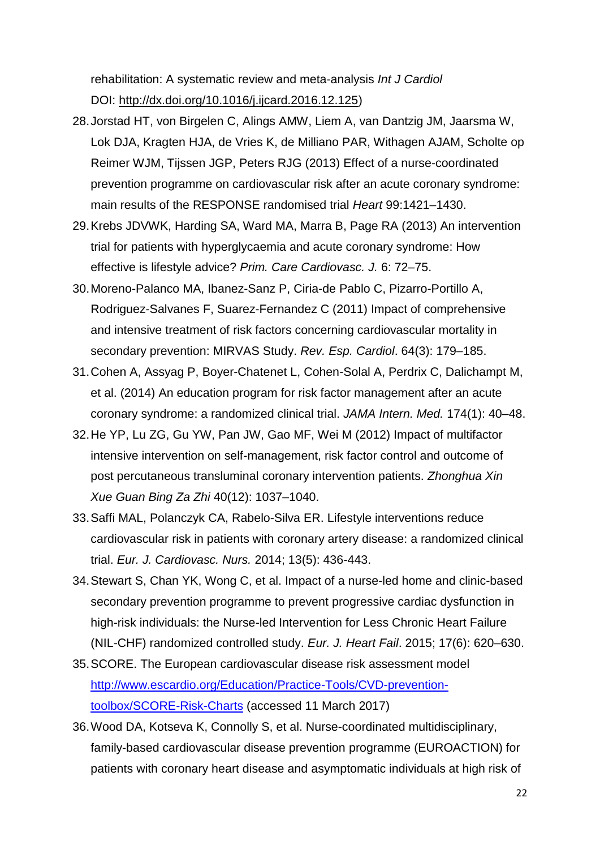rehabilitation: A systematic review and meta-analysis *Int J Cardiol* DOI: [http://dx.doi.org/10.1016/j.ijcard.2016.12.125\)](http://dx.doi.org/10.1016/j.ijcard.2016.12.125)

- 28.Jorstad HT, von Birgelen C, Alings AMW, Liem A, van Dantzig JM, Jaarsma W, Lok DJA, Kragten HJA, de Vries K, de Milliano PAR, Withagen AJAM, Scholte op Reimer WJM, Tijssen JGP, Peters RJG (2013) Effect of a nurse-coordinated prevention programme on cardiovascular risk after an acute coronary syndrome: main results of the RESPONSE randomised trial *Heart* 99:1421–1430.
- 29.Krebs JDVWK, Harding SA, Ward MA, Marra B, Page RA (2013) An intervention trial for patients with hyperglycaemia and acute coronary syndrome: How effective is lifestyle advice? *Prim. Care Cardiovasc. J.* 6: 72–75.
- 30.Moreno-Palanco MA, Ibanez-Sanz P, Ciria-de Pablo C, Pizarro-Portillo A, Rodriguez-Salvanes F, Suarez-Fernandez C (2011) Impact of comprehensive and intensive treatment of risk factors concerning cardiovascular mortality in secondary prevention: MIRVAS Study. *Rev. Esp. Cardiol*. 64(3): 179–185.
- 31.Cohen A, Assyag P, Boyer-Chatenet L, Cohen-Solal A, Perdrix C, Dalichampt M, et al. (2014) An education program for risk factor management after an acute coronary syndrome: a randomized clinical trial. *JAMA Intern. Med.* 174(1): 40–48.
- 32.He YP, Lu ZG, Gu YW, Pan JW, Gao MF, Wei M (2012) Impact of multifactor intensive intervention on self-management, risk factor control and outcome of post percutaneous transluminal coronary intervention patients. *Zhonghua Xin Xue Guan Bing Za Zhi* 40(12): 1037–1040.
- 33.Saffi MAL, Polanczyk CA, Rabelo-Silva ER. Lifestyle interventions reduce cardiovascular risk in patients with coronary artery disease: a randomized clinical trial. *Eur. J. Cardiovasc. Nurs.* 2014; 13(5): 436-443.
- 34.Stewart S, Chan YK, Wong C, et al. Impact of a nurse-led home and clinic-based secondary prevention programme to prevent progressive cardiac dysfunction in high-risk individuals: the Nurse-led Intervention for Less Chronic Heart Failure (NIL-CHF) randomized controlled study. *Eur. J. Heart Fail*. 2015; 17(6): 620–630.
- 35.SCORE. The European cardiovascular disease risk assessment model [http://www.escardio.org/Education/Practice-Tools/CVD-prevention](http://www.escardio.org/Education/Practice-Tools/CVD-prevention-toolbox/SCORE-Risk-Charts)[toolbox/SCORE-Risk-Charts](http://www.escardio.org/Education/Practice-Tools/CVD-prevention-toolbox/SCORE-Risk-Charts) (accessed 11 March 2017)
- 36.Wood DA, Kotseva K, Connolly S, et al. Nurse-coordinated multidisciplinary, family-based cardiovascular disease prevention programme (EUROACTION) for patients with coronary heart disease and asymptomatic individuals at high risk of